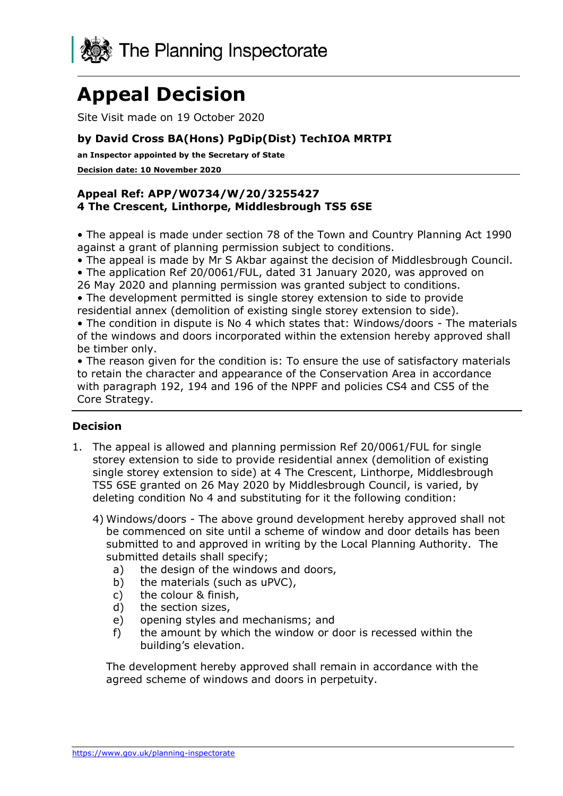

# **Appeal Decision**

Site Visit made on 19 October 2020

## **by David Cross BA(Hons) PgDip(Dist) TechIOA MRTPI**

**an Inspector appointed by the Secretary of State** 

**Decision date: 10 November 2020**

#### **Appeal Ref: APP/W0734/W/20/3255427 4 The Crescent, Linthorpe, Middlesbrough TS5 6SE**

• The appeal is made under section 78 of the Town and Country Planning Act 1990 against a grant of planning permission subject to conditions.

• The appeal is made by Mr S Akbar against the decision of Middlesbrough Council.

• The application Ref 20/0061/FUL, dated 31 January 2020, was approved on

26 May 2020 and planning permission was granted subject to conditions.

• The development permitted is single storey extension to side to provide residential annex (demolition of existing single storey extension to side).

• The condition in dispute is No 4 which states that: Windows/doors - The materials of the windows and doors incorporated within the extension hereby approved shall be timber only.

• The reason given for the condition is: To ensure the use of satisfactory materials to retain the character and appearance of the Conservation Area in accordance with paragraph 192, 194 and 196 of the NPPF and policies CS4 and CS5 of the Core Strategy.

## **Decision**

- 1. The appeal is allowed and planning permission Ref 20/0061/FUL for single storey extension to side to provide residential annex (demolition of existing single storey extension to side) at 4 The Crescent, Linthorpe, Middlesbrough TS5 6SE granted on 26 May 2020 by Middlesbrough Council, is varied, by deleting condition No 4 and substituting for it the following condition:
	- 4) Windows/doors The above ground development hereby approved shall not be commenced on site until a scheme of window and door details has been submitted to and approved in writing by the Local Planning Authority. The submitted details shall specify;
		- a) the design of the windows and doors,
		- b) the materials (such as uPVC),
		- c) the colour & finish,
		- d) the section sizes,
		- e) opening styles and mechanisms; and
		- f) the amount by which the window or door is recessed within the building's elevation.

The development hereby approved shall remain in accordance with the agreed scheme of windows and doors in perpetuity.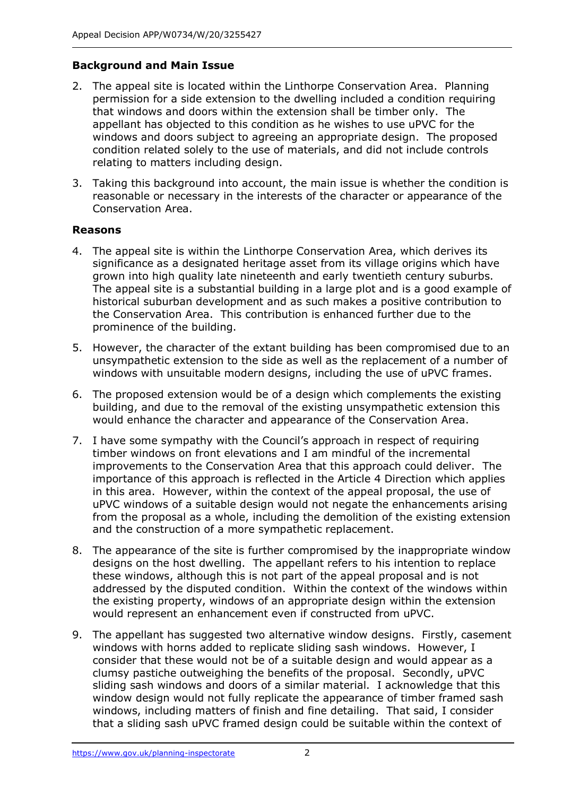## **Background and Main Issue**

- 2. The appeal site is located within the Linthorpe Conservation Area. Planning permission for a side extension to the dwelling included a condition requiring that windows and doors within the extension shall be timber only. The appellant has objected to this condition as he wishes to use uPVC for the windows and doors subject to agreeing an appropriate design. The proposed condition related solely to the use of materials, and did not include controls relating to matters including design.
- 3. Taking this background into account, the main issue is whether the condition is reasonable or necessary in the interests of the character or appearance of the Conservation Area.

#### **Reasons**

- 4. The appeal site is within the Linthorpe Conservation Area, which derives its significance as a designated heritage asset from its village origins which have grown into high quality late nineteenth and early twentieth century suburbs. The appeal site is a substantial building in a large plot and is a good example of historical suburban development and as such makes a positive contribution to the Conservation Area. This contribution is enhanced further due to the prominence of the building.
- 5. However, the character of the extant building has been compromised due to an unsympathetic extension to the side as well as the replacement of a number of windows with unsuitable modern designs, including the use of uPVC frames.
- 6. The proposed extension would be of a design which complements the existing building, and due to the removal of the existing unsympathetic extension this would enhance the character and appearance of the Conservation Area.
- 7. I have some sympathy with the Council's approach in respect of requiring timber windows on front elevations and I am mindful of the incremental improvements to the Conservation Area that this approach could deliver. The importance of this approach is reflected in the Article 4 Direction which applies in this area. However, within the context of the appeal proposal, the use of uPVC windows of a suitable design would not negate the enhancements arising from the proposal as a whole, including the demolition of the existing extension and the construction of a more sympathetic replacement.
- 8. The appearance of the site is further compromised by the inappropriate window designs on the host dwelling. The appellant refers to his intention to replace these windows, although this is not part of the appeal proposal and is not addressed by the disputed condition. Within the context of the windows within the existing property, windows of an appropriate design within the extension would represent an enhancement even if constructed from uPVC.
- 9. The appellant has suggested two alternative window designs. Firstly, casement windows with horns added to replicate sliding sash windows. However, I consider that these would not be of a suitable design and would appear as a clumsy pastiche outweighing the benefits of the proposal. Secondly, uPVC sliding sash windows and doors of a similar material. I acknowledge that this window design would not fully replicate the appearance of timber framed sash windows, including matters of finish and fine detailing. That said, I consider that a sliding sash uPVC framed design could be suitable within the context of